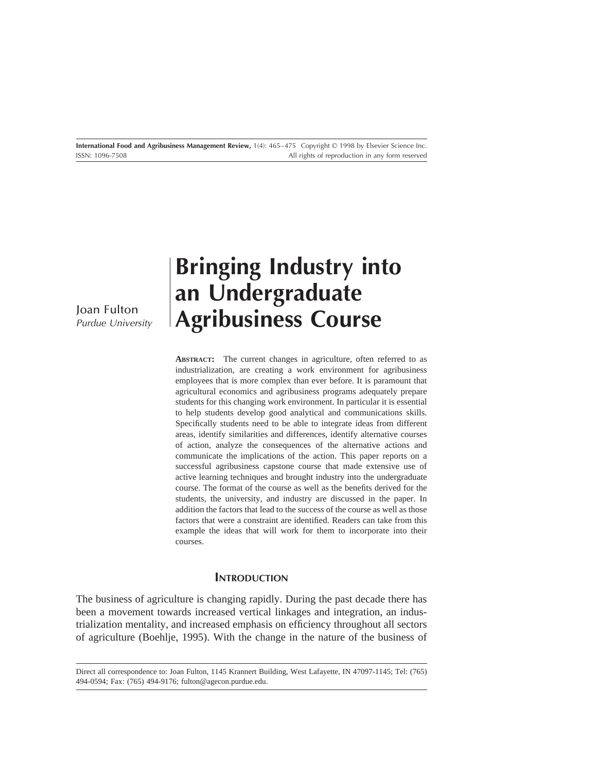**International Food and Agribusiness Management Review,** 1(4): 465–475 Copyright © 1998 by Elsevier Science Inc. ISSN: 1096-7508 All rights of reproduction in any form reserved

Purdue University

# **Bringing Industry into an Undergraduate** Joan Fulton **Agribusiness Course**

**ABSTRACT:** The current changes in agriculture, often referred to as industrialization, are creating a work environment for agribusiness employees that is more complex than ever before. It is paramount that agricultural economics and agribusiness programs adequately prepare students for this changing work environment. In particular it is essential to help students develop good analytical and communications skills. Specifically students need to be able to integrate ideas from different areas, identify similarities and differences, identify alternative courses of action, analyze the consequences of the alternative actions and communicate the implications of the action. This paper reports on a successful agribusiness capstone course that made extensive use of active learning techniques and brought industry into the undergraduate course. The format of the course as well as the benefits derived for the students, the university, and industry are discussed in the paper. In addition the factors that lead to the success of the course as well as those factors that were a constraint are identified. Readers can take from this example the ideas that will work for them to incorporate into their courses.

## **INTRODUCTION**

The business of agriculture is changing rapidly. During the past decade there has been a movement towards increased vertical linkages and integration, an industrialization mentality, and increased emphasis on efficiency throughout all sectors of agriculture (Boehlje, 1995). With the change in the nature of the business of

Direct all correspondence to: Joan Fulton, 1145 Krannert Building, West Lafayette, IN 47097-1145; Tel: (765) 494-0594; Fax: (765) 494-9176; fulton@agecon.purdue.edu.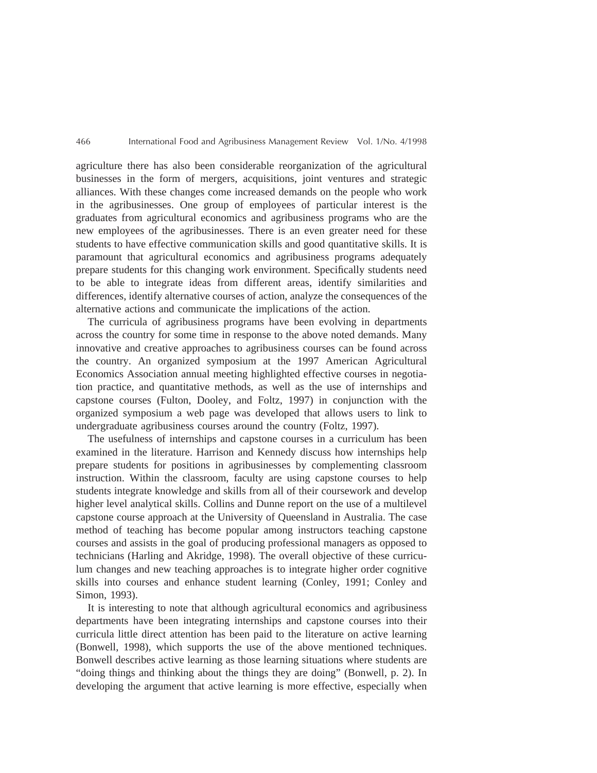agriculture there has also been considerable reorganization of the agricultural businesses in the form of mergers, acquisitions, joint ventures and strategic alliances. With these changes come increased demands on the people who work in the agribusinesses. One group of employees of particular interest is the graduates from agricultural economics and agribusiness programs who are the new employees of the agribusinesses. There is an even greater need for these students to have effective communication skills and good quantitative skills. It is paramount that agricultural economics and agribusiness programs adequately prepare students for this changing work environment. Specifically students need to be able to integrate ideas from different areas, identify similarities and differences, identify alternative courses of action, analyze the consequences of the alternative actions and communicate the implications of the action.

The curricula of agribusiness programs have been evolving in departments across the country for some time in response to the above noted demands. Many innovative and creative approaches to agribusiness courses can be found across the country. An organized symposium at the 1997 American Agricultural Economics Association annual meeting highlighted effective courses in negotiation practice, and quantitative methods, as well as the use of internships and capstone courses (Fulton, Dooley, and Foltz, 1997) in conjunction with the organized symposium a web page was developed that allows users to link to undergraduate agribusiness courses around the country (Foltz, 1997).

The usefulness of internships and capstone courses in a curriculum has been examined in the literature. Harrison and Kennedy discuss how internships help prepare students for positions in agribusinesses by complementing classroom instruction. Within the classroom, faculty are using capstone courses to help students integrate knowledge and skills from all of their coursework and develop higher level analytical skills. Collins and Dunne report on the use of a multilevel capstone course approach at the University of Queensland in Australia. The case method of teaching has become popular among instructors teaching capstone courses and assists in the goal of producing professional managers as opposed to technicians (Harling and Akridge, 1998). The overall objective of these curriculum changes and new teaching approaches is to integrate higher order cognitive skills into courses and enhance student learning (Conley, 1991; Conley and Simon, 1993).

It is interesting to note that although agricultural economics and agribusiness departments have been integrating internships and capstone courses into their curricula little direct attention has been paid to the literature on active learning (Bonwell, 1998), which supports the use of the above mentioned techniques. Bonwell describes active learning as those learning situations where students are "doing things and thinking about the things they are doing" (Bonwell, p. 2). In developing the argument that active learning is more effective, especially when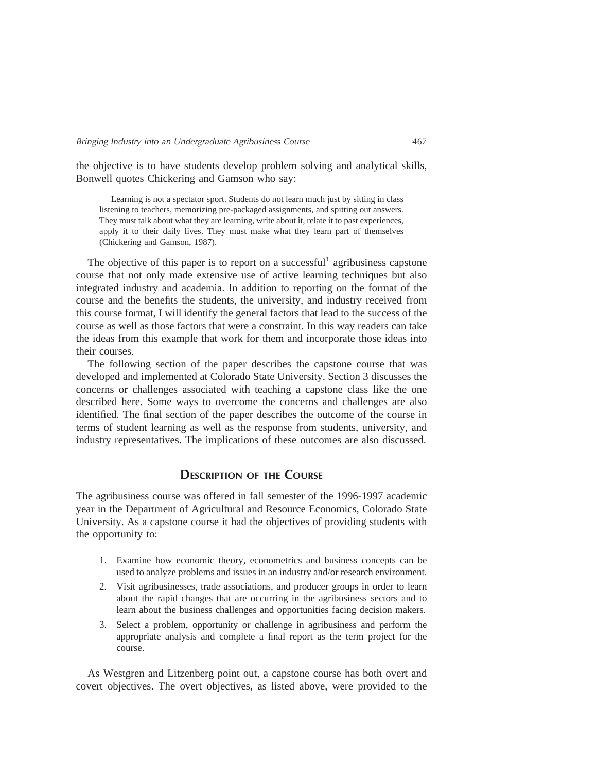the objective is to have students develop problem solving and analytical skills, Bonwell quotes Chickering and Gamson who say:

Learning is not a spectator sport. Students do not learn much just by sitting in class listening to teachers, memorizing pre-packaged assignments, and spitting out answers. They must talk about what they are learning, write about it, relate it to past experiences, apply it to their daily lives. They must make what they learn part of themselves (Chickering and Gamson, 1987).

The objective of this paper is to report on a successful<sup>1</sup> agribusiness capstone course that not only made extensive use of active learning techniques but also integrated industry and academia. In addition to reporting on the format of the course and the benefits the students, the university, and industry received from this course format, I will identify the general factors that lead to the success of the course as well as those factors that were a constraint. In this way readers can take the ideas from this example that work for them and incorporate those ideas into their courses.

The following section of the paper describes the capstone course that was developed and implemented at Colorado State University. Section 3 discusses the concerns or challenges associated with teaching a capstone class like the one described here. Some ways to overcome the concerns and challenges are also identified. The final section of the paper describes the outcome of the course in terms of student learning as well as the response from students, university, and industry representatives. The implications of these outcomes are also discussed.

## **DESCRIPTION OF THE COURSE**

The agribusiness course was offered in fall semester of the 1996-1997 academic year in the Department of Agricultural and Resource Economics, Colorado State University. As a capstone course it had the objectives of providing students with the opportunity to:

- 1. Examine how economic theory, econometrics and business concepts can be used to analyze problems and issues in an industry and/or research environment.
- 2. Visit agribusinesses, trade associations, and producer groups in order to learn about the rapid changes that are occurring in the agribusiness sectors and to learn about the business challenges and opportunities facing decision makers.
- 3. Select a problem, opportunity or challenge in agribusiness and perform the appropriate analysis and complete a final report as the term project for the course.

As Westgren and Litzenberg point out, a capstone course has both overt and covert objectives. The overt objectives, as listed above, were provided to the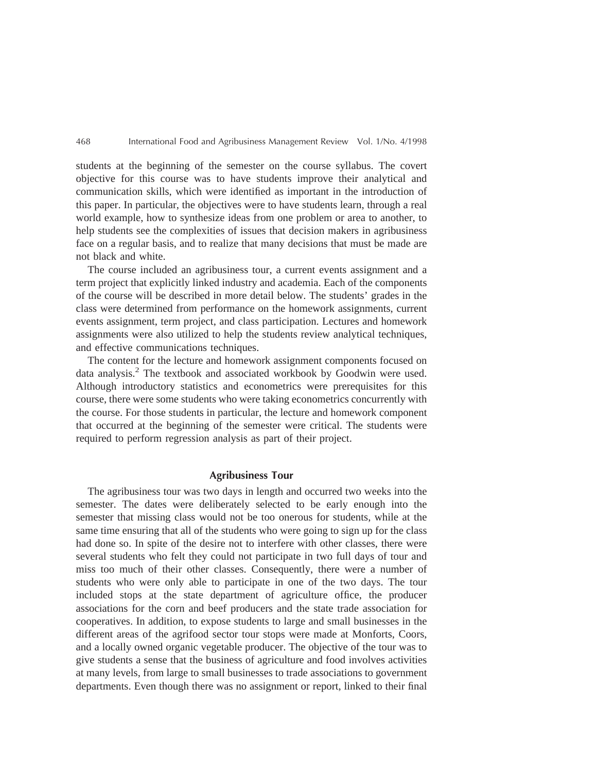students at the beginning of the semester on the course syllabus. The covert objective for this course was to have students improve their analytical and communication skills, which were identified as important in the introduction of this paper. In particular, the objectives were to have students learn, through a real world example, how to synthesize ideas from one problem or area to another, to help students see the complexities of issues that decision makers in agribusiness face on a regular basis, and to realize that many decisions that must be made are not black and white.

The course included an agribusiness tour, a current events assignment and a term project that explicitly linked industry and academia. Each of the components of the course will be described in more detail below. The students' grades in the class were determined from performance on the homework assignments, current events assignment, term project, and class participation. Lectures and homework assignments were also utilized to help the students review analytical techniques, and effective communications techniques.

The content for the lecture and homework assignment components focused on data analysis.<sup>2</sup> The textbook and associated workbook by Goodwin were used. Although introductory statistics and econometrics were prerequisites for this course, there were some students who were taking econometrics concurrently with the course. For those students in particular, the lecture and homework component that occurred at the beginning of the semester were critical. The students were required to perform regression analysis as part of their project.

#### **Agribusiness Tour**

The agribusiness tour was two days in length and occurred two weeks into the semester. The dates were deliberately selected to be early enough into the semester that missing class would not be too onerous for students, while at the same time ensuring that all of the students who were going to sign up for the class had done so. In spite of the desire not to interfere with other classes, there were several students who felt they could not participate in two full days of tour and miss too much of their other classes. Consequently, there were a number of students who were only able to participate in one of the two days. The tour included stops at the state department of agriculture office, the producer associations for the corn and beef producers and the state trade association for cooperatives. In addition, to expose students to large and small businesses in the different areas of the agrifood sector tour stops were made at Monforts, Coors, and a locally owned organic vegetable producer. The objective of the tour was to give students a sense that the business of agriculture and food involves activities at many levels, from large to small businesses to trade associations to government departments. Even though there was no assignment or report, linked to their final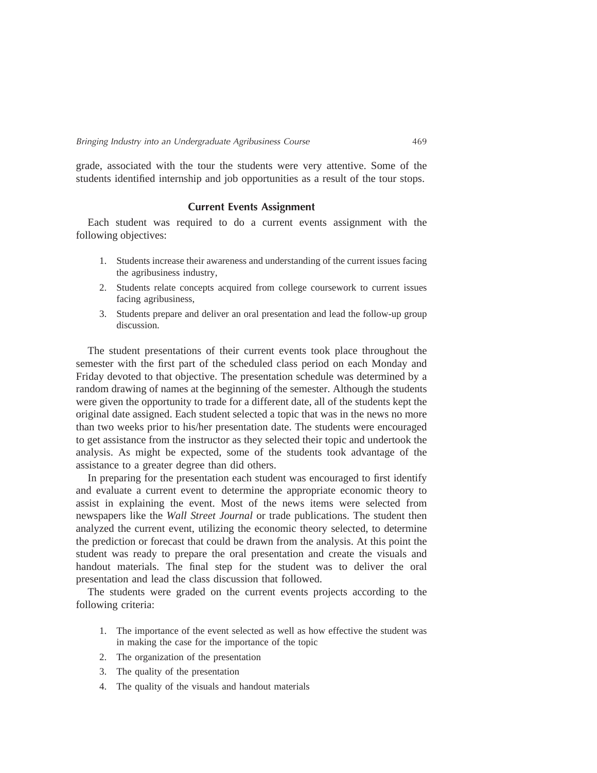grade, associated with the tour the students were very attentive. Some of the students identified internship and job opportunities as a result of the tour stops.

### **Current Events Assignment**

Each student was required to do a current events assignment with the following objectives:

- 1. Students increase their awareness and understanding of the current issues facing the agribusiness industry,
- 2. Students relate concepts acquired from college coursework to current issues facing agribusiness,
- 3. Students prepare and deliver an oral presentation and lead the follow-up group discussion.

The student presentations of their current events took place throughout the semester with the first part of the scheduled class period on each Monday and Friday devoted to that objective. The presentation schedule was determined by a random drawing of names at the beginning of the semester. Although the students were given the opportunity to trade for a different date, all of the students kept the original date assigned. Each student selected a topic that was in the news no more than two weeks prior to his/her presentation date. The students were encouraged to get assistance from the instructor as they selected their topic and undertook the analysis. As might be expected, some of the students took advantage of the assistance to a greater degree than did others.

In preparing for the presentation each student was encouraged to first identify and evaluate a current event to determine the appropriate economic theory to assist in explaining the event. Most of the news items were selected from newspapers like the *Wall Street Journal* or trade publications. The student then analyzed the current event, utilizing the economic theory selected, to determine the prediction or forecast that could be drawn from the analysis. At this point the student was ready to prepare the oral presentation and create the visuals and handout materials. The final step for the student was to deliver the oral presentation and lead the class discussion that followed.

The students were graded on the current events projects according to the following criteria:

- 1. The importance of the event selected as well as how effective the student was in making the case for the importance of the topic
- 2. The organization of the presentation
- 3. The quality of the presentation
- 4. The quality of the visuals and handout materials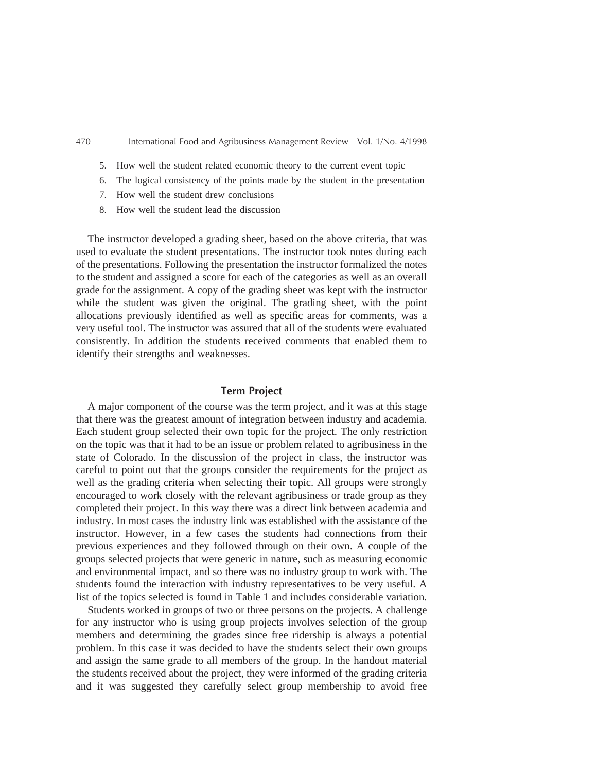#### 470 International Food and Agribusiness Management Review Vol. 1/No. 4/1998

- 5. How well the student related economic theory to the current event topic
- 6. The logical consistency of the points made by the student in the presentation
- 7. How well the student drew conclusions
- 8. How well the student lead the discussion

The instructor developed a grading sheet, based on the above criteria, that was used to evaluate the student presentations. The instructor took notes during each of the presentations. Following the presentation the instructor formalized the notes to the student and assigned a score for each of the categories as well as an overall grade for the assignment. A copy of the grading sheet was kept with the instructor while the student was given the original. The grading sheet, with the point allocations previously identified as well as specific areas for comments, was a very useful tool. The instructor was assured that all of the students were evaluated consistently. In addition the students received comments that enabled them to identify their strengths and weaknesses.

#### **Term Project**

A major component of the course was the term project, and it was at this stage that there was the greatest amount of integration between industry and academia. Each student group selected their own topic for the project. The only restriction on the topic was that it had to be an issue or problem related to agribusiness in the state of Colorado. In the discussion of the project in class, the instructor was careful to point out that the groups consider the requirements for the project as well as the grading criteria when selecting their topic. All groups were strongly encouraged to work closely with the relevant agribusiness or trade group as they completed their project. In this way there was a direct link between academia and industry. In most cases the industry link was established with the assistance of the instructor. However, in a few cases the students had connections from their previous experiences and they followed through on their own. A couple of the groups selected projects that were generic in nature, such as measuring economic and environmental impact, and so there was no industry group to work with. The students found the interaction with industry representatives to be very useful. A list of the topics selected is found in Table 1 and includes considerable variation.

Students worked in groups of two or three persons on the projects. A challenge for any instructor who is using group projects involves selection of the group members and determining the grades since free ridership is always a potential problem. In this case it was decided to have the students select their own groups and assign the same grade to all members of the group. In the handout material the students received about the project, they were informed of the grading criteria and it was suggested they carefully select group membership to avoid free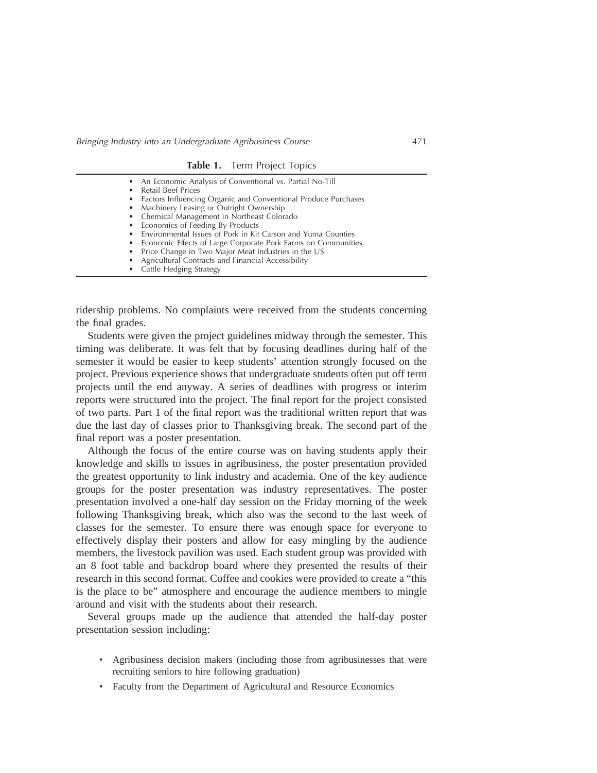| Table 1. |  | Term Project Topics |  |
|----------|--|---------------------|--|
|----------|--|---------------------|--|

|           | • An Economic Analysis of Conventional vs. Partial No-Till     |
|-----------|----------------------------------------------------------------|
| $\bullet$ | Retail Beef Prices                                             |
| $\bullet$ | Factors Influencing Organic and Conventional Produce Purchases |
|           | • Machinery Leasing or Outright Ownership                      |
|           | • Chemical Management in Northeast Colorado                    |
|           | • Economics of Feeding By-Products                             |
| $\bullet$ | Environmental Issues of Pork in Kit Carson and Yuma Counties   |
| $\bullet$ | Economic Effects of Large Corporate Pork Farms on Communities  |
| $\bullet$ | Price Change in Two Major Meat Industries in the US            |
|           | • Agricultural Contracts and Financial Accessibility           |
|           | • Cattle Hedging Strategy                                      |
|           |                                                                |

ridership problems. No complaints were received from the students concerning the final grades.

Students were given the project guidelines midway through the semester. This timing was deliberate. It was felt that by focusing deadlines during half of the semester it would be easier to keep students' attention strongly focused on the project. Previous experience shows that undergraduate students often put off term projects until the end anyway. A series of deadlines with progress or interim reports were structured into the project. The final report for the project consisted of two parts. Part 1 of the final report was the traditional written report that was due the last day of classes prior to Thanksgiving break. The second part of the final report was a poster presentation.

Although the focus of the entire course was on having students apply their knowledge and skills to issues in agribusiness, the poster presentation provided the greatest opportunity to link industry and academia. One of the key audience groups for the poster presentation was industry representatives. The poster presentation involved a one-half day session on the Friday morning of the week following Thanksgiving break, which also was the second to the last week of classes for the semester. To ensure there was enough space for everyone to effectively display their posters and allow for easy mingling by the audience members, the livestock pavilion was used. Each student group was provided with an 8 foot table and backdrop board where they presented the results of their research in this second format. Coffee and cookies were provided to create a "this is the place to be" atmosphere and encourage the audience members to mingle around and visit with the students about their research.

Several groups made up the audience that attended the half-day poster presentation session including:

- Agribusiness decision makers (including those from agribusinesses that were recruiting seniors to hire following graduation)
- Faculty from the Department of Agricultural and Resource Economics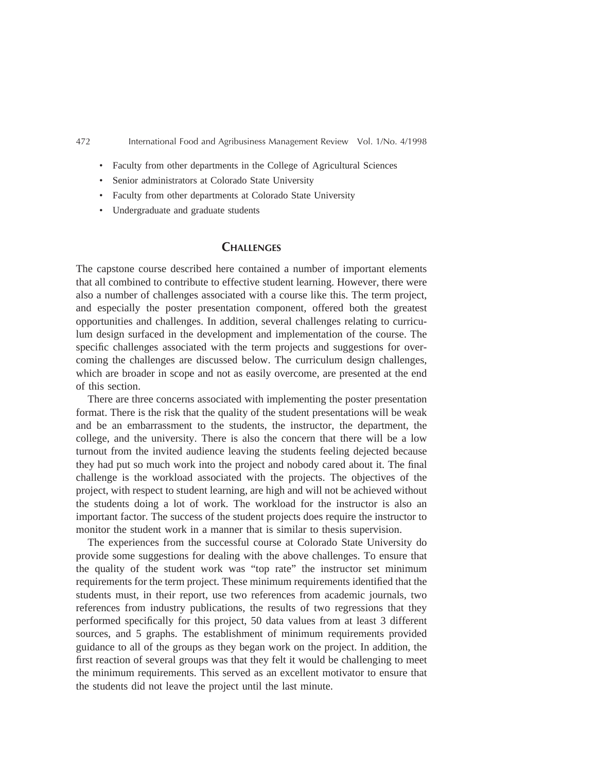- Faculty from other departments in the College of Agricultural Sciences
- Senior administrators at Colorado State University
- Faculty from other departments at Colorado State University
- Undergraduate and graduate students

## **CHALLENGES**

The capstone course described here contained a number of important elements that all combined to contribute to effective student learning. However, there were also a number of challenges associated with a course like this. The term project, and especially the poster presentation component, offered both the greatest opportunities and challenges. In addition, several challenges relating to curriculum design surfaced in the development and implementation of the course. The specific challenges associated with the term projects and suggestions for overcoming the challenges are discussed below. The curriculum design challenges, which are broader in scope and not as easily overcome, are presented at the end of this section.

There are three concerns associated with implementing the poster presentation format. There is the risk that the quality of the student presentations will be weak and be an embarrassment to the students, the instructor, the department, the college, and the university. There is also the concern that there will be a low turnout from the invited audience leaving the students feeling dejected because they had put so much work into the project and nobody cared about it. The final challenge is the workload associated with the projects. The objectives of the project, with respect to student learning, are high and will not be achieved without the students doing a lot of work. The workload for the instructor is also an important factor. The success of the student projects does require the instructor to monitor the student work in a manner that is similar to thesis supervision.

The experiences from the successful course at Colorado State University do provide some suggestions for dealing with the above challenges. To ensure that the quality of the student work was "top rate" the instructor set minimum requirements for the term project. These minimum requirements identified that the students must, in their report, use two references from academic journals, two references from industry publications, the results of two regressions that they performed specifically for this project, 50 data values from at least 3 different sources, and 5 graphs. The establishment of minimum requirements provided guidance to all of the groups as they began work on the project. In addition, the first reaction of several groups was that they felt it would be challenging to meet the minimum requirements. This served as an excellent motivator to ensure that the students did not leave the project until the last minute.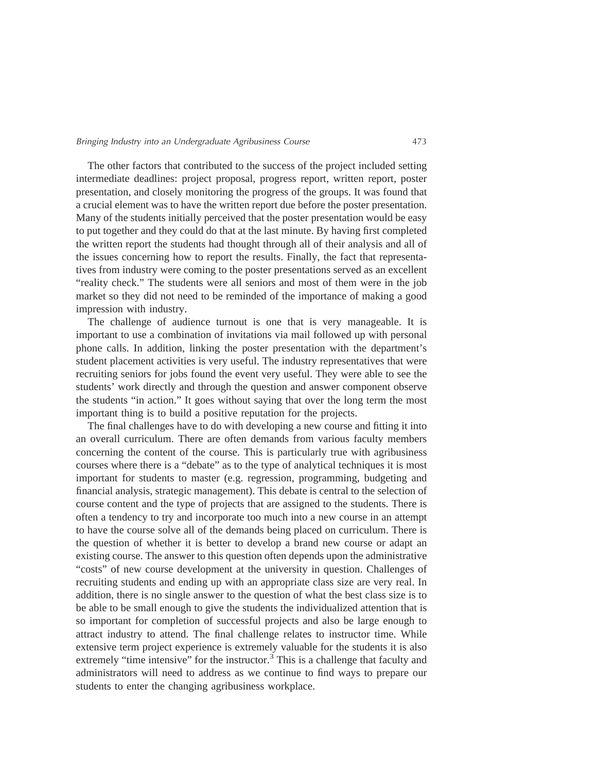The other factors that contributed to the success of the project included setting intermediate deadlines: project proposal, progress report, written report, poster presentation, and closely monitoring the progress of the groups. It was found that a crucial element was to have the written report due before the poster presentation. Many of the students initially perceived that the poster presentation would be easy to put together and they could do that at the last minute. By having first completed the written report the students had thought through all of their analysis and all of the issues concerning how to report the results. Finally, the fact that representatives from industry were coming to the poster presentations served as an excellent "reality check." The students were all seniors and most of them were in the job market so they did not need to be reminded of the importance of making a good impression with industry.

The challenge of audience turnout is one that is very manageable. It is important to use a combination of invitations via mail followed up with personal phone calls. In addition, linking the poster presentation with the department's student placement activities is very useful. The industry representatives that were recruiting seniors for jobs found the event very useful. They were able to see the students' work directly and through the question and answer component observe the students "in action." It goes without saying that over the long term the most important thing is to build a positive reputation for the projects.

The final challenges have to do with developing a new course and fitting it into an overall curriculum. There are often demands from various faculty members concerning the content of the course. This is particularly true with agribusiness courses where there is a "debate" as to the type of analytical techniques it is most important for students to master (e.g. regression, programming, budgeting and financial analysis, strategic management). This debate is central to the selection of course content and the type of projects that are assigned to the students. There is often a tendency to try and incorporate too much into a new course in an attempt to have the course solve all of the demands being placed on curriculum. There is the question of whether it is better to develop a brand new course or adapt an existing course. The answer to this question often depends upon the administrative "costs" of new course development at the university in question. Challenges of recruiting students and ending up with an appropriate class size are very real. In addition, there is no single answer to the question of what the best class size is to be able to be small enough to give the students the individualized attention that is so important for completion of successful projects and also be large enough to attract industry to attend. The final challenge relates to instructor time. While extensive term project experience is extremely valuable for the students it is also extremely "time intensive" for the instructor. $3$  This is a challenge that faculty and administrators will need to address as we continue to find ways to prepare our students to enter the changing agribusiness workplace.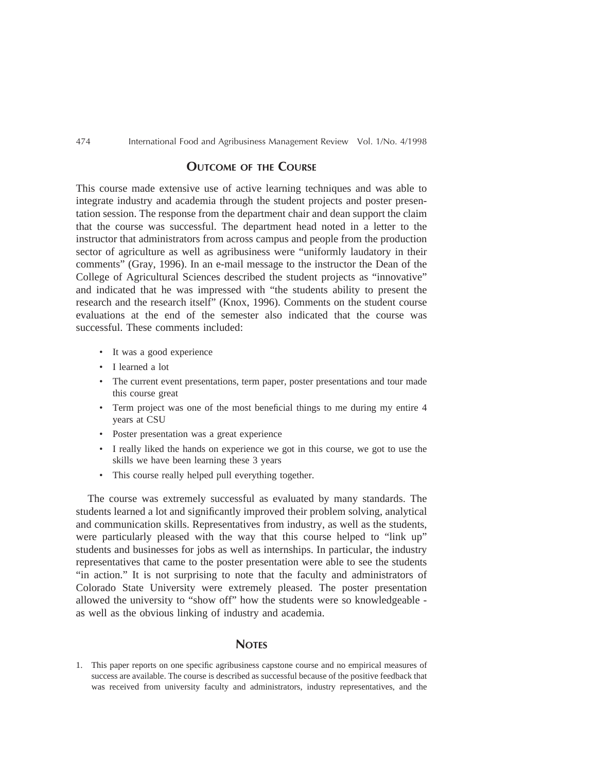## **OUTCOME OF THE COURSE**

This course made extensive use of active learning techniques and was able to integrate industry and academia through the student projects and poster presentation session. The response from the department chair and dean support the claim that the course was successful. The department head noted in a letter to the instructor that administrators from across campus and people from the production sector of agriculture as well as agribusiness were "uniformly laudatory in their comments" (Gray, 1996). In an e-mail message to the instructor the Dean of the College of Agricultural Sciences described the student projects as "innovative" and indicated that he was impressed with "the students ability to present the research and the research itself" (Knox, 1996). Comments on the student course evaluations at the end of the semester also indicated that the course was successful. These comments included:

- It was a good experience
- I learned a lot
- The current event presentations, term paper, poster presentations and tour made this course great
- Term project was one of the most beneficial things to me during my entire 4 years at CSU
- Poster presentation was a great experience
- I really liked the hands on experience we got in this course, we got to use the skills we have been learning these 3 years
- This course really helped pull everything together.

The course was extremely successful as evaluated by many standards. The students learned a lot and significantly improved their problem solving, analytical and communication skills. Representatives from industry, as well as the students, were particularly pleased with the way that this course helped to "link up" students and businesses for jobs as well as internships. In particular, the industry representatives that came to the poster presentation were able to see the students "in action." It is not surprising to note that the faculty and administrators of Colorado State University were extremely pleased. The poster presentation allowed the university to "show off" how the students were so knowledgeable as well as the obvious linking of industry and academia.

## **NOTES**

1. This paper reports on one specific agribusiness capstone course and no empirical measures of success are available. The course is described as successful because of the positive feedback that was received from university faculty and administrators, industry representatives, and the